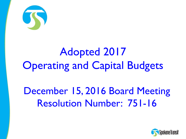

# Adopted 2017 **Operating and Capital Budgets**

## December 15, 2016 Board Meeting Resolution Number: 751-16

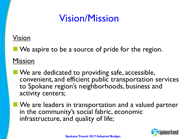## Vision/Mission

### Vision

We aspire to be a source of pride for the region.

Mission

- **No** We are dedicated to providing safe, accessible, convenient, and efficient public transportation services to Spokane region's neighborhoods, business and activity centers;
- **We are leaders in transportation and a valued partner** in the community's social fabric, economic infrastructure, and quality of life;

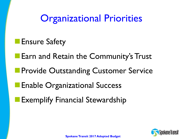**Organizational Priorities** 

**Ensure Safety** 

**Earn and Retain the Community's Trust** 

**Provide Outstanding Customer Service** 

**Enable Organizational Success** 

Exemplify Financial Stewardship

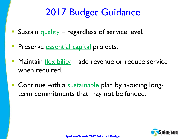## 2017 Budget Guidance

- Sustain quality regardless of service level.
- Preserve essential capital projects.
- Maintain flexibility add revenue or reduce service when required.
- Continue with a sustainable plan by avoiding longterm commitments that may not be funded.

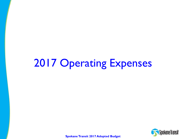# 2017 Operating Expenses

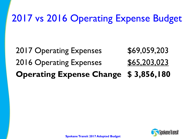## 2017 vs 2016 Operating Expense Budget

## 2017 Operating Expenses \$69,059,203 2016 Operating Expenses 565,203,023 **Operating Expense Change \$ 3,856,180**

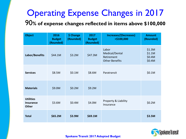## Operating Expense Changes in 2017

90**% of expense changes reflected in items above \$100,000**

| <b>Object</b>                                        | 2016<br><b>Budget</b><br>(Rounded) | \$ Change<br>(Rounded) | 2017<br><b>Budget</b><br>(Rounded) | <b>Increases/(Decreases)</b><br>>\$100,000                     | <b>Amount</b><br>(Rounded)           |
|------------------------------------------------------|------------------------------------|------------------------|------------------------------------|----------------------------------------------------------------|--------------------------------------|
| Labor/Benefits                                       | \$44.1M                            | \$3.2M                 | \$47.3M                            | Labor<br>Medical/Dental<br>Retirement<br><b>Other Benefits</b> | \$1.3M<br>\$1.1M<br>\$0.4M<br>\$0.4M |
| <b>Services</b>                                      | \$8.5M                             | \$0.1M                 | \$8.6M                             | Paratransit                                                    | \$0.1M                               |
| <b>Materials</b>                                     | \$9.0M                             | \$0.2M                 | \$9.2M                             |                                                                |                                      |
| <b>Utilities</b><br><b>Insurance</b><br><b>Other</b> | \$3.6M                             | \$0.4M                 | \$4.0M                             | Property & Liability<br>Insurance                              | \$0.2M                               |
| <b>Total</b>                                         | \$65.2M                            | \$3.9M                 | \$69.1M                            |                                                                | \$3.5M                               |

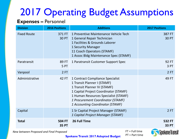#### **Expenses –** Personnel

| <b>Division</b>    | <b>2016 Positions</b>         | <b>Additions</b>                                                                                                                                                                                                                                          | <b>2017 Positions</b>         |
|--------------------|-------------------------------|-----------------------------------------------------------------------------------------------------------------------------------------------------------------------------------------------------------------------------------------------------------|-------------------------------|
| <b>Fixed Route</b> | 371 FT<br>30 PT               | 1 Preventive Maintenance Vehicle Tech<br>1 General Repair Technician<br>1 Facilities & Grounds Laborer<br>1 Security Manager<br>11 Coach Operators (STAMF)<br>1 Assoc Bldg Maintenance Spec (STAMF)                                                       | 387 FT<br><b>30 PT</b>        |
| Paratransit        | 89 FT<br>5 PT                 | 1 Paratransit Customer Support Spec                                                                                                                                                                                                                       | 92 FT<br>3 PT                 |
| Vanpool            | 2FT                           |                                                                                                                                                                                                                                                           | 2FT                           |
| Administrative     | 42 FT                         | 1 Contract Compliance Specialist<br>1 Transit Planner I (STAMF)<br>1 Transit Planner IV (STAMF)<br>1 Capital Project Coordinator (STAMF)<br>1 Human Resources Specialist (STAMF)<br>1 Procurement Coordinator (STAMF)<br>1 Accounting Coordinator (STAMF) | 49 FT                         |
| Capital            |                               | 1 Sr Capital Project Manager (STAMF)<br>1 Capital Project Manager (STAMF)                                                                                                                                                                                 | 2FT                           |
| <b>Total</b>       | <b>504 FT</b><br><b>35 PT</b> | 26 Full Time                                                                                                                                                                                                                                              | <b>532 FT</b><br><b>33 PT</b> |
|                    |                               |                                                                                                                                                                                                                                                           | <b>Call College</b>           |

*New between Proposed and Final Proposed*

FT = Full time PT = Part time

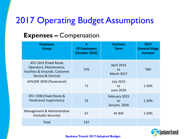### **Expenses –** Compensation

| <b>Employee</b><br><b>Group</b>                                                                           | #<br><b>Of Employees</b><br>(October 2016) | <b>Contract</b><br><b>Term</b>               | 2017<br><b>General Wage</b><br><b>Increase</b> |
|-----------------------------------------------------------------------------------------------------------|--------------------------------------------|----------------------------------------------|------------------------------------------------|
| ATU 1015 (Fixed Route<br>Operators, Maintenance,<br>Facilities & Grounds, Customer<br>Service & Clerical) | 376                                        | <b>April 2014</b><br>to<br><b>March 2017</b> | <b>TBD</b>                                     |
| AFSCME 3939 (Paratransit)                                                                                 | 71                                         | <b>July 2015</b><br>to<br><b>June 2018</b>   | 1.50%                                          |
| ATU 1598 (Fixed Route &<br><b>Paratransit Supervisors)</b>                                                | 23                                         | February 2015<br>to<br>January 2018          | 1.50%                                          |
| Management & Administrative<br>(Includes Security)                                                        | 67                                         | At Will                                      | 1.50%                                          |
| Total                                                                                                     | 537                                        |                                              |                                                |

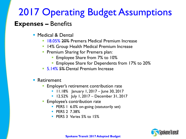### **Expenses –** Benefits

- **Medical & Dental** 
	- **18.05% 20% Premera Medical Premium Increase**
	- **14% Group Health Medical Premium Increase**
	- **Premium Sharing for Premera plan:** 
		- Employee Share from 7% to 10%
		- Employee Share for Dependents from 17% to 20%
	- 5.14% 5% Dental Premium Increase
- **Retirement** 
	- Employer's retirement contribution rate
		- **11.18%** January 1, 2017 June 30, 2017
		- 12.52% July 1, 2017 December 31, 2017
	- Employee's contribution rate
		- **PERS 1 6.0% on-going (statutorily set)**
		- **PERS 2 738%**
		- **PERS 3 Varies 5% to 15%**

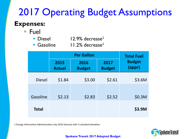### **Expenses:**

■ Fuel

| <b>Diesel</b> | $12.9\%$ decrease <sup>1</sup> |
|---------------|--------------------------------|
|               |                                |

Gasoline  $11.2\%$  decrease<sup>1</sup>

|               |                       | <b>Total Fuel</b>     |                       |                         |
|---------------|-----------------------|-----------------------|-----------------------|-------------------------|
|               | 2015<br><b>Actual</b> | 2016<br><b>Budget</b> | 2017<br><b>Budget</b> | <b>Budget</b><br>(appr) |
| <b>Diesel</b> | \$1.84                | \$3.00                | \$2.61                | \$3.6M                  |
| Gasoline      | \$2.13                | \$2.83                | \$2.52                | \$0.3M                  |
|               |                       |                       |                       |                         |
| <b>Total</b>  |                       |                       |                       | \$3.9M                  |

1 Energy Information Administration July 2016 forecast with ½ standard deviation

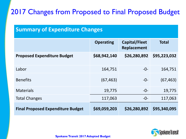### 2017 Changes from Proposed to Final Proposed Budget

#### **Summary of Expenditure Changes**

|                                          | <b>Operating</b> | Capital/Fleet<br>Replacement | <b>Total</b> |
|------------------------------------------|------------------|------------------------------|--------------|
| <b>Proposed Expenditure Budget</b>       | \$68,942,140     | \$26,280,892                 | \$95,223,032 |
| Labor                                    | 164,751          | $-0-$                        | 164,751      |
| <b>Benefits</b>                          | (67, 463)        | $-0-$                        | (67, 463)    |
| <b>Materials</b>                         | 19,775           | $-0-$                        | 19,775       |
| <b>Total Changes</b>                     | 117,063          | $-0-$                        | 117,063      |
| <b>Final Proposed Expenditure Budget</b> | \$69,059,203     | \$26,280,892                 | \$95,340,095 |

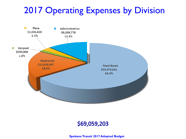## 2017 Operating Expenses by Division



#### \$69,059,203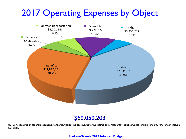## 2017 Operating Expenses by Object



#### \$69,059,203

**NOTE: As required by federal accounting standards, "labor" includes wages for work time only. "Benefits" includes wages for paid time off. "Materials" include fuel costs.**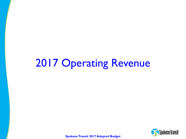# 2017 Operating Revenue

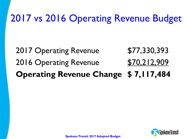## 2017 vs 2016 Operating Revenue Budget

## 2017 Operating Revenue \$77,330,393 2016 Operating Revenue 570,212,909 **Operating Revenue Change \$ 7,117,484**

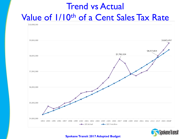## Trend vs Actual Value of 1/10th of a Cent Sales Tax Rate



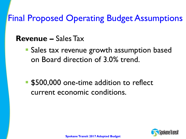Final Proposed Operating Budget Assumptions

### **Revenue –** Sales Tax

**Sales tax revenue growth assumption based** on Board direction of 3.0% trend.

**S500,000** one-time addition to reflect current economic conditions.

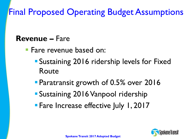Final Proposed Operating Budget Assumptions

### **Revenue –** Fare

- Fare revenue based on:
	- Sustaining 2016 ridership levels for Fixed Route
	- **Paratransit growth of 0.5% over 2016**
	- Sustaining 2016 Vanpool ridership
	- **Fare Increase effective July 1, 2017**

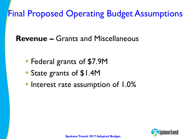Final Proposed Operating Budget Assumptions

**Revenue –** Grants and Miscellaneous

- **Federal grants of \$7.9M**
- State grants of \$1.4M
- **Interest rate assumption of 1.0%**

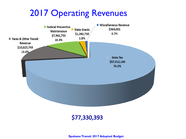## 2017 Operating Revenues



#### \$77,330,393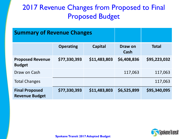### 2017 Revenue Changes from Proposed to Final Proposed Budget

| <b>Summary of Revenue Changes</b>              |                  |                |                 |              |
|------------------------------------------------|------------------|----------------|-----------------|--------------|
|                                                | <b>Operating</b> | <b>Capital</b> | Draw on<br>Cash | <b>Total</b> |
| <b>Proposed Revenue</b><br><b>Budget</b>       | \$77,330,393     | \$11,483,803   | \$6,408,836     | \$95,223,032 |
| Draw on Cash                                   |                  |                | 117,063         | 117,063      |
| <b>Total Changes</b>                           |                  |                |                 | 117,063      |
| <b>Final Proposed</b><br><b>Revenue Budget</b> | \$77,330,393     | \$11,483,803   | \$6,525,899     | \$95,340,095 |

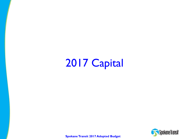2017 Capital

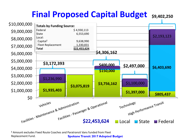

**<sup>1</sup>** Amount excludes Fixed Route Coaches and Paratransit Vans funded from Fleet Replacement Fund. **Spokane Transit 2017 Adopted Budget**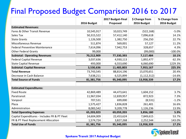### Final Proposed Budget Comparison 2016 to 2017

|                                               |             | 2017 Budget-Final | \$ Change from | % Change from |
|-----------------------------------------------|-------------|-------------------|----------------|---------------|
|                                               | 2016 Budget | Proposed          | 2016 Budget    | 2016 Budget   |
| <b>Estimated Revenues:</b>                    |             |                   |                |               |
| Fares & Other Transit Revenue                 | 10,545,917  | 10,023,749        | (522, 168)     | $-5.0%$       |
| Sales Tax                                     | 50,315,522  | 57,412,140        | 7,096,618      | 14.1%         |
| <b>State Grants</b>                           | 1,126,500   | 1,382,750         | 256,250        | 22.7%         |
| Miscellaneous Revenue                         | 511,874     | 569,001           | 57,127         | 11.2%         |
| <b>Federal Preventive Maintenance</b>         | 7,614,096   | 7,942,753         | 328,657        | 4.3%          |
| <b>Other Federal Grants</b>                   | 99,000      |                   | (99,000)       | $-100.0\%$    |
| <b>Subtotal: Operating Revenues</b>           | 70,212,909  | 77,330,393        | 7,117,484      | 10.1%         |
| <b>Federal Capital Revenue</b>                | 3,037,636   | 4,930,113         | 1,892,477      | 62.3%         |
| <b>State Capital Revenue</b>                  | 493,000     | 6,553,690         | 6,060,690      | 1229.3%       |
| <b>Subtotal: Capital Revenue</b>              | 3,530,636   | 11,483,803        | 7,953,167      | 225.3%        |
| <b>Total Revenue</b>                          | 73,743,545  | 88,814,196        | 15,070,651     | 20.4%         |
| Decrease in Cash Balance                      | 7,638,211   | 6,525,899         | (1, 112, 312)  | $-14.6%$      |
| <b>Total Source of Funds</b>                  | 81,381,756  | 95,340,095        | 13,958,339     | 17.2%         |
|                                               |             |                   |                |               |
| <b>Estimated Expenditures:</b>                |             |                   |                |               |
| <b>Fixed Route</b>                            | 42,869,489  | 44,473,641        | 1,604,152      | 3.7%          |
| Paratransit                                   | 11,967,034  | 12,839,957        | 872,923        | 7.3%          |
| Vanpool                                       | 707,531     | 699,000           | (8,531)        | $-1.2%$       |
| Plaza                                         | 1,575,427   | 1,836,828         | 261,401        | 16.6%         |
| Administration                                | 8,083,542   | 9,209,778         | 1,126,236      | 13.9%         |
| <b>Total Operating Expenses</b>               | 65,203,023  | 69,059,203        | 3,856,180      | 5.9%          |
| Capital Expenditures - Includes FR & PT Fleet | 14,604,009  | 22,453,624        | 7,849,615      | 53.7%         |
| FR & PT Fleet Replacement Allocation          | 1,574,724   | 3,827,268         | 2,252,544      | 143.0%        |
| <b>Total Use of Funds</b>                     | 81,381,756  | 95,340,095        | 13,958,339     | 17.2%         |

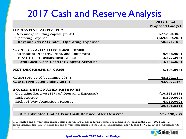## 2017 Cash and Reserve Analysis

|                                                                     | <b>2017 Final</b>      |
|---------------------------------------------------------------------|------------------------|
|                                                                     | <b>Proposed Budget</b> |
| <b>OPERATING ACTIVITIES</b>                                         |                        |
| Revenue (excluding capital grants)                                  | \$77,330,393           |
| <b>Operating Expense</b>                                            | $(\$69,059,203)$       |
| <b>Revenue Over / (Under) Operating Expenses</b>                    | \$8,271,190            |
|                                                                     |                        |
| <b>CAPITAL ACTIVITIES (Local Funds)</b>                             |                        |
| Purchase of Property, Plant, and Equipment                          | (9,638,990)            |
| FR & PT Fleet Replacement Allocation                                | (3,827,268)            |
| <b>Total Local Cash Used for Capital Activities</b>                 | (13, 466, 258)         |
|                                                                     |                        |
| <b>NET DECREASE IN CASH</b>                                         | (5, 195, 068)          |
| CASH (Projected beginning 2017)                                     | 48,202,184             |
| <b>CASH</b> (Projected ending 2017)                                 | 43,007,116             |
|                                                                     |                        |
| <b>BOARD DESIGNATED RESERVES</b>                                    |                        |
| Operating Reserve (15% of Operating Expenses)                       | (10,358,881)           |
| <b>Risk Reserve</b>                                                 | (5,500,000)            |
| <b>Right of Way Acquisition Reserve</b>                             | (4,950,000)            |
|                                                                     | (20,808,881)           |
|                                                                     |                        |
| 2017 Estimated End of Year Cash Balance After Reserves <sup>1</sup> | \$22,198,235           |

1 Estimated end of year cash balance after reserves are used for future capital expenditures included in the 2017-2022 Capital Improvement Plan. This excludes the end of year cash balance in the Fleet Replacement Fund which is \$7,623,383 as of September 30, 2016.

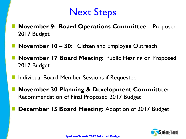## Next Steps

- **November 9: Board Operations Committee –** Proposed 2017 Budget
- **November 10 30:** Citizen and Employee Outreach
- **November 17 Board Meeting**: Public Hearing on Proposed 2017 Budget
- Individual Board Member Sessions if Requested
- **November 30 Planning & Development Committee:**  Recommendation of Final Proposed 2017 Budget
	- **December 15 Board Meeting**: Adoption of 2017 Budget